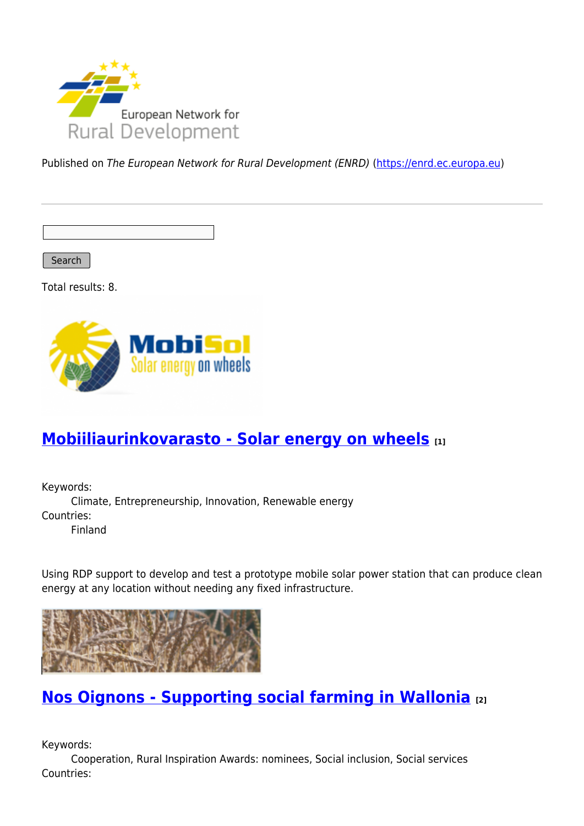

Published on The European Network for Rural Development (ENRD) [\(https://enrd.ec.europa.eu](https://enrd.ec.europa.eu))

Search

Total results: 8.



## **[Mobiiliaurinkovarasto - Solar energy on wheels](https://enrd.ec.europa.eu/projects-practice/mobiiliaurinkovarasto-solar-energy-wheels_en) [1]**

Keywords: Climate, Entrepreneurship, Innovation, Renewable energy Countries: Finland

Using RDP support to develop and test a prototype mobile solar power station that can produce clean energy at any location without needing any fixed infrastructure.



### **[Nos Oignons - Supporting social farming in Wallonia](https://enrd.ec.europa.eu/projects-practice/nos-oignons-supporting-social-farming-wallonia_en) [2]**

Keywords:

Cooperation, Rural Inspiration Awards: nominees, Social inclusion, Social services Countries: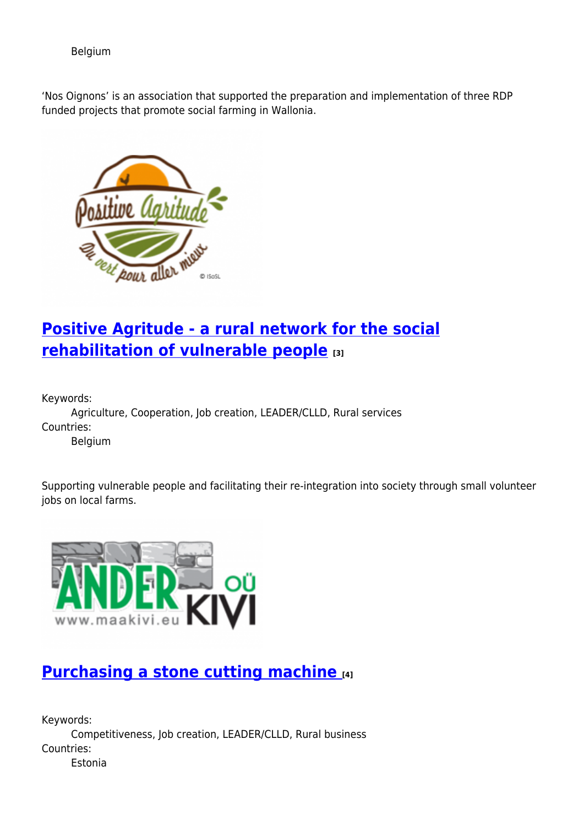Belgium

'Nos Oignons' is an association that supported the preparation and implementation of three RDP funded projects that promote social farming in Wallonia.



# **[Positive Agritude - a rural network for the social](https://enrd.ec.europa.eu/projects-practice/positive-agritude-rural-network-social-rehabilitation-vulnerable-people_en) [rehabilitation of vulnerable people](https://enrd.ec.europa.eu/projects-practice/positive-agritude-rural-network-social-rehabilitation-vulnerable-people_en) [3]**

Keywords:

Agriculture, Cooperation, Job creation, LEADER/CLLD, Rural services Countries: Belgium

Supporting vulnerable people and facilitating their re-integration into society through small volunteer jobs on local farms.



## **[Purchasing a stone cutting machine](https://enrd.ec.europa.eu/projects-practice/purchasing-stone-cutting-machine_en) [4]**

Keywords: Competitiveness, Job creation, LEADER/CLLD, Rural business Countries: Estonia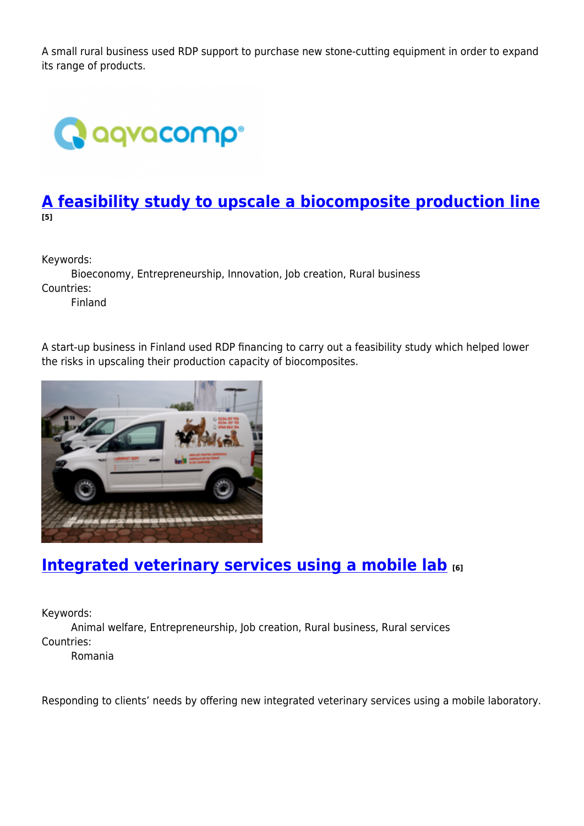A small rural business used RDP support to purchase new stone-cutting equipment in order to expand its range of products.



### **[A feasibility study to upscale a biocomposite production line](https://enrd.ec.europa.eu/projects-practice/feasibility-study-upscale-biocomposite-production-line_en) [5]**

Keywords:

Bioeconomy, Entrepreneurship, Innovation, Job creation, Rural business Countries: Finland

A start-up business in Finland used RDP financing to carry out a feasibility study which helped lower the risks in upscaling their production capacity of biocomposites.



### **[Integrated veterinary services using a mobile lab](https://enrd.ec.europa.eu/projects-practice/integrated-veterinary-services-using-mobile-lab_en) [6]**

Keywords:

Animal welfare, Entrepreneurship, Job creation, Rural business, Rural services Countries:

Romania

Responding to clients' needs by offering new integrated veterinary services using a mobile laboratory.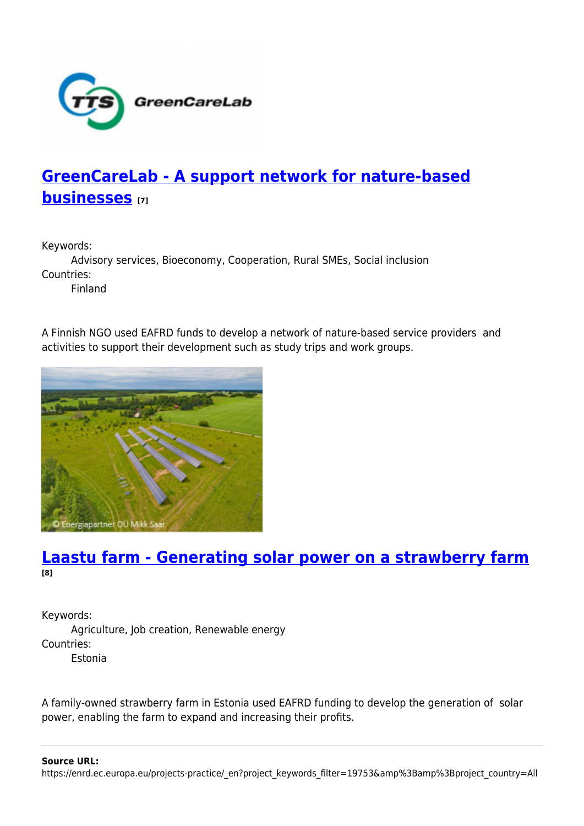

## **[GreenCareLab - A support network for nature-based](https://enrd.ec.europa.eu/projects-practice/greencarelab-support-network-nature-based-businesses_en) [businesses](https://enrd.ec.europa.eu/projects-practice/greencarelab-support-network-nature-based-businesses_en) [7]**

Keywords:

Advisory services, Bioeconomy, Cooperation, Rural SMEs, Social inclusion Countries:

Finland

A Finnish NGO used EAFRD funds to develop a network of nature-based service providers and activities to support their development such as study trips and work groups.



### **[Laastu farm - Generating solar power on a strawberry farm](https://enrd.ec.europa.eu/projects-practice/laastu-farm-generating-solar-power-strawberry-farm_en) [8]**

Keywords: Agriculture, Job creation, Renewable energy Countries: Estonia

A family-owned strawberry farm in Estonia used EAFRD funding to develop the generation of solar power, enabling the farm to expand and increasing their profits.

**Source URL:**

https://enrd.ec.europa.eu/projects-practice/\_en?project\_keywords\_filter=19753&amp%3Bamp%3Bproject\_country=All